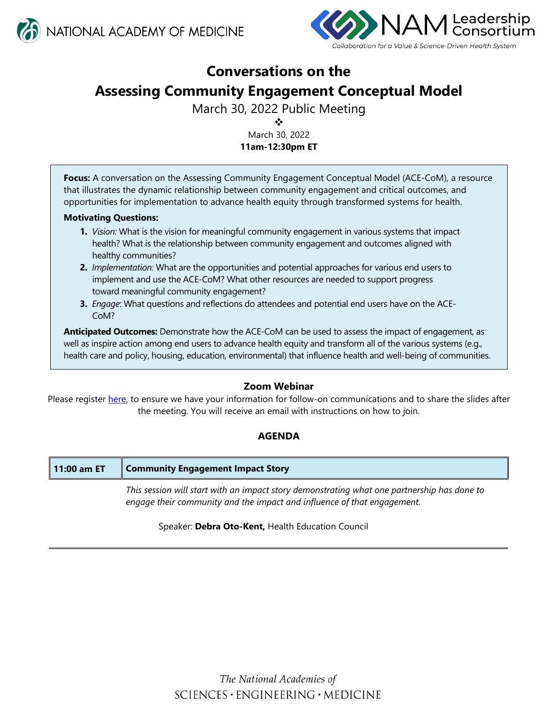



# **Conversations on the Assessing Community Engagement Conceptual Model**

March 30, 2022 Public Meeting

樂

March 30, 2022 **11am-12:30pm ET** 

**Focus:** A conversation on the Assessing Community Engagement Conceptual Model (ACE-CoM), a resource that illustrates the dynamic relationship between community engagement and critical outcomes, and opportunities for implementation to advance health equity through transformed systems for health.

## **Motivating Questions:**

- **1.** *Vision:* What is the vision for meaningful community engagement in various systems that impact health? What is the relationship between community engagement and outcomes aligned with healthy communities?
- **2.** *Implementation:* What are the opportunities and potential approaches for various end users to implement and use the ACE-CoM? What other resources are needed to support progress toward meaningful community engagement?
- **3.** *Engage*: What questions and reflections do attendees and potential end users have on the ACE-CoM?

**Anticipated Outcomes:** Demonstrate how the ACE-CoM can be used to assess the impact of engagement, as well as inspire action among end users to advance health equity and transform all of the various systems (e.g., health care and policy, housing, education, environmental) that influence health and well-being of communities.

## **Zoom Webinar**

Please register [here,](https://nasem.zoom.us/webinar/register/WN_pjEWnN8bRVSN55pmK9P86Q) to ensure we have your information for follow-on communications and to share the slides after the meeting. You will receive an email with instructions on how to join.

# **AGENDA**

| 11:00 am ET                                                                                 | Community Engagement Impact Story                                       |  |
|---------------------------------------------------------------------------------------------|-------------------------------------------------------------------------|--|
| This session will start with an impact story demonstrating what one partnership has done to |                                                                         |  |
|                                                                                             | engage their community and the impact and influence of that engagement. |  |

## Speaker: **Debra Oto-Kent,** Health Education Council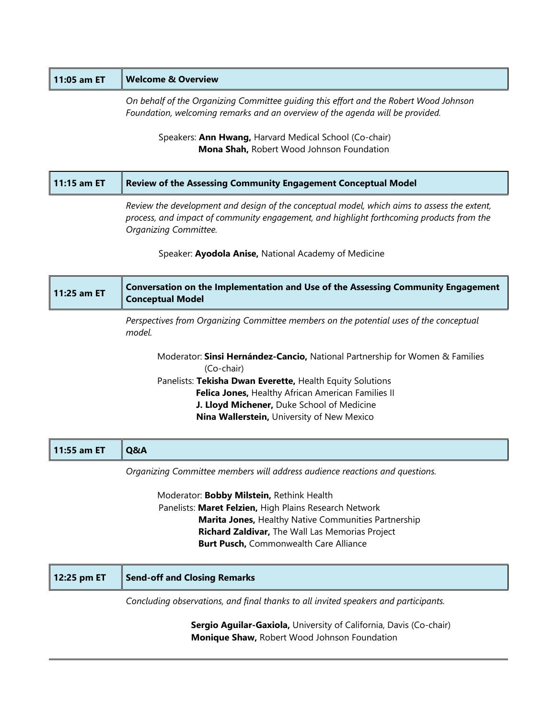# **11:05 am ET Welcome & Overview**

*On behalf of the Organizing Committee guiding this effort and the Robert Wood Johnson Foundation, welcoming remarks and an overview of the agenda will be provided.* 

Speakers: **Ann Hwang,** Harvard Medical School (Co-chair) **Mona Shah,** Robert Wood Johnson Foundation

| 11:15 am ET | Review of the Assessing Community Engagement Conceptual Model                               |  |
|-------------|---------------------------------------------------------------------------------------------|--|
|             | Review the development and design of the conceptual model, which aims to assess the extent, |  |

*process, and impact of community engagement, and highlight forthcoming products from the Organizing Committee.* 

Speaker: **Ayodola Anise,** National Academy of Medicine

| 11:25 am ET | <b>Conversation on the Implementation and Use of the Assessing Community Engagement</b><br><b>Conceptual Model</b> |
|-------------|--------------------------------------------------------------------------------------------------------------------|
|             | Perspectives from Organizing Committee members on the potential uses of the conceptual<br>model.                   |
|             | Moderator: Sinsi Hernández-Cancio, National Partnership for Women & Families<br>(Co-chair)                         |
|             | Panelists: Tekisha Dwan Everette, Health Equity Solutions                                                          |
|             | Felica Jones, Healthy African American Families II                                                                 |
|             | J. Lloyd Michener, Duke School of Medicine                                                                         |

 **Nina Wallerstein,** University of New Mexico

| 11:55 am ET | ll Q&A                                                                      |
|-------------|-----------------------------------------------------------------------------|
|             | Organizing Committee members will address audience reactions and questions. |

Moderator: **Bobby Milstein,** Rethink Health Panelists: **Maret Felzien,** High Plains Research Network **Marita Jones,** Healthy Native Communities Partnership **Richard Zaldivar,** The Wall Las Memorias Project **Burt Pusch,** Commonwealth Care Alliance

| 12:25 pm ET | Send-off and Closing Remarks                                                        |
|-------------|-------------------------------------------------------------------------------------|
|             | Concluding observations, and final thanks to all invited speakers and participants. |

**Sergio Aguilar-Gaxiola, University of California, Davis (Co-chair) Monique Shaw,** Robert Wood Johnson Foundation